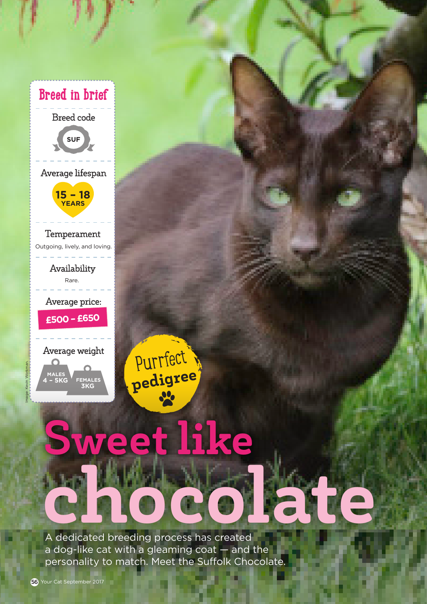

chocolate A dedicated breeding process has created a dog-like cat with a gleaming coat — and the personality to match. Meet the Suffolk Chocolate.

Purrfect

pedigree

eet like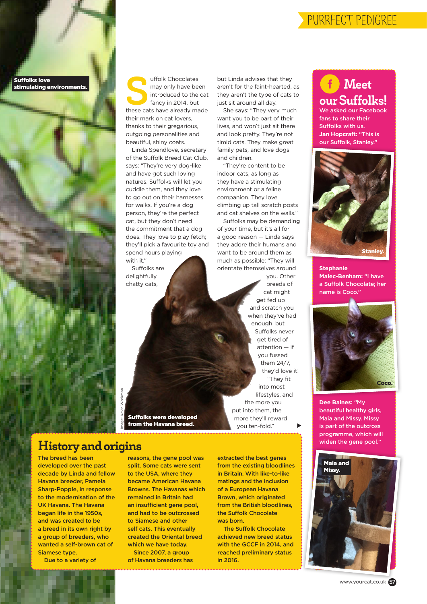#### PURRFECT PEDIGREE

Suffolks love stimulating environments.

uffolk Chocolates<br>
may only have been<br>
introduced to the cat<br>
fancy in 2014, but<br>
these cats have already made may only have been introduced to the cat fancy in 2014, but their mark on cat lovers, thanks to their gregarious, outgoing personalities and beautiful, shiny coats.

Linda Spendlove, secretary of the Suffolk Breed Cat Club, says: "They're very dog-like and have got such loving natures. Suffolks will let you cuddle them, and they love to go out on their harnesses for walks. If you're a dog person, they're the perfect cat, but they don't need the commitment that a dog does. They love to play fetch; they'll pick a favourite toy and spend hours playing with it."

Suffolks are delightfully chatty cats,

but Linda advises that they aren't for the faint-hearted, as they aren't the type of cats to just sit around all day.

She says: "They very much want you to be part of their lives, and won't just sit there and look pretty. They're not timid cats. They make great family pets, and love dogs and children.

"They're content to be indoor cats, as long as they have a stimulating environment or a feline companion. They love climbing up tall scratch posts and cat shelves on the walls."

Suffolks may be demanding of your time, but it's all for a good reason — Linda says they adore their humans and want to be around them as much as possible: "They will orientate themselves around

> you. Other breeds of cat might get fed up and scratch you when they've had enough, but Suffolks never get tired of attention — if you fussed them 24/7, they'd love it! "They fit into most lifestyles, and the more you put into them, the more they'll reward you ten-fold."  $\blacktriangleright$

**Meet** our Suffolks! We asked our Facebook fans to share their Suffolks with us. **Jan Hopcraft:** "This is our Suffolk, Stanley."



**Stephanie Malec-Benham:** "I have a Suffolk Chocolate; her name is Coco."



**Dee Baines:** "My beautiful healthy girls, Maia and Missy. Missy is part of the outcross programme, which will widen the gene pool."



Image: Kevin Workman.

History and origins

The breed has been developed over the past decade by Linda and fellow Havana breeder, Pamela Sharp-Popple, in response to the modernisation of the UK Havana. The Havana began life in the 1950s, and was created to be a breed in its own right by a group of breeders, who wanted a self-brown cat of Siamese type.

Due to a variety of

reasons, the gene pool was split. Some cats were sent to the USA, where they became American Havana Browns. The Havanas which remained in Britain had an insufficient gene pool, and had to be outcrossed to Siamese and other self cats. This eventually created the Oriental breed which we have today. Since 2007, a group

Suffolks were developed from the Havana breed.

of Havana breeders has

extracted the best genes from the existing bloodlines in Britain. With like-to-like matings and the inclusion of a European Havana Brown, which originated from the British bloodlines, the Suffolk Chocolate was born.

The Suffolk Chocolate achieved new breed status with the GCCF in 2014, and reached preliminary status in 2016.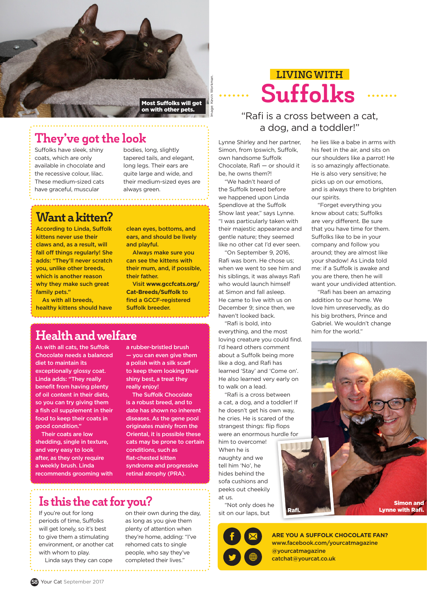

#### They've got the look

Suffolks have sleek, shiny coats, which are only available in chocolate and the recessive colour, lilac. These medium-sized cats have graceful, muscular

bodies, long, slightly tapered tails, and elegant, long legs. Their ears are quite large and wide, and their medium-sized eyes are always green.

### Want a kitten?

According to Linda, Suffolk kittens never use their claws and, as a result, will fall off things regularly! She adds: "They'll never scratch you, unlike other breeds, which is another reason why they make such great family pets."

As with all breeds, healthy kittens should have

clean eyes, bottoms, and ears, and should be lively and playful.

Always make sure you can see the kittens with their mum, and, if possible, their father.

Visit **www.gccfcats.org/ Cat-Breeds/Suffolk** to find a GCCF-registered Suffolk breeder.

#### Health and welfare

As with all cats, the Suffolk Chocolate needs a balanced diet to maintain its exceptionally glossy coat. Linda adds: "They really benefit from having plenty of oil content in their diets, so you can try giving them a fish oil supplement in their food to keep their coats in good condition."

Their coats are low shedding, single in texture, and very easy to look after, as they only require a weekly brush. Linda recommends grooming with a rubber-bristled brush — you can even give them a polish with a silk scarf to keep them looking their shiny best, a treat they really enjoy!

The Suffolk Chocolate is a robust breed, and to date has shown no inherent diseases. As the gene pool originates mainly from the Oriental, it is possible these cats may be prone to certain conditions, such as flat-chested kitten syndrome and progressive retinal atrophy (PRA).

## Is this the cat for you?

If you're out for long periods of time, Suffolks will get lonely, so it's best to give them a stimulating environment, or another cat with whom to play.

Linda says they can cope . . . . . . . . . . . . . . . .

on their own during the day, as long as you give them plenty of attention when they're home, adding: "I've rehomed cats to single people, who say they've completed their lives."

# Suffolks LIVING WITH

#### "Rafi is a cross between a cat, a dog, and a toddler!"

Lynne Shirley and her partner, Simon, from Ipswich, Suffolk, own handsome Suffolk Chocolate, Rafi — or should it be, he owns them?!

"We hadn't heard of the Suffolk breed before we happened upon Linda Spendlove at the Suffolk Show last year," says Lynne. "I was particularly taken with their majestic appearance and gentle nature; they seemed like no other cat I'd ever seen.

"On September 9, 2016, Rafi was born. He chose us; when we went to see him and his siblings, it was always Rafi who would launch himself at Simon and fall asleep. He came to live with us on December 9; since then, we haven't looked back.

"Rafi is bold, into everything, and the most loving creature you could find. I'd heard others comment about a Suffolk being more like a dog, and Rafi has learned 'Stay' and 'Come on'. He also learned very early on to walk on a lead.

"Rafi is a cross between a cat, a dog, and a toddler! If he doesn't get his own way, he cries. He is scared of the strangest things: flip flops were an enormous hurdle for

him to overcome! When he is naughty and we tell him 'No', he hides behind the sofa cushions and peeks out cheekily at us.

"Not only does he sit on our laps, but

he lies like a babe in arms with his feet in the air, and sits on our shoulders like a parrot! He is so amazingly affectionate. He is also very sensitive; he picks up on our emotions, and is always there to brighten our spirits.

"Forget everything you know about cats; Suffolks are very different. Be sure that you have time for them. Suffolks like to be in your company and follow you around; they are almost like your shadow! As Linda told me: if a Suffolk is awake and you are there, then he will want your undivided attention.

"Rafi has been an amazing addition to our home. We love him unreservedly, as do his big brothers, Prince and Gabriel. We wouldn't change him for the world."

Simon and Lynne with Rafi.



Rafi.

**ARE YOU A SUFFOLK CHOCOLATE FAN?** www.facebook.com/yourcatmagazine @yourcatmagazine catchat@yourcat.co.uk